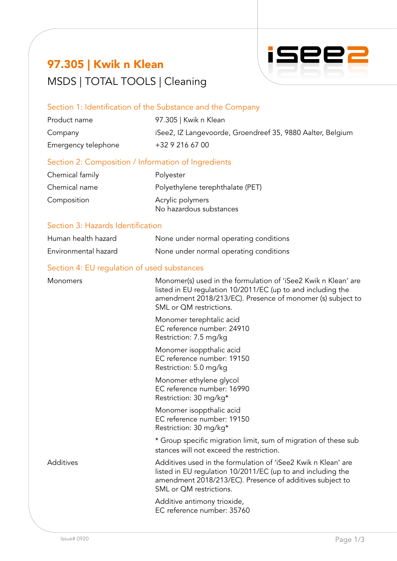# 97.305 | Kwik n Klean MSDS | TOTAL TOOLS | Cleaning



### Section 1: Identification of the Substance and the Company

| Product name        | 97.305   Kwik n Klean                                      |
|---------------------|------------------------------------------------------------|
| Company             | iSee2, IZ Langevoorde, Groendreef 35, 9880 Aalter, Belgium |
| Emergency telephone | +32 9 216 67 00                                            |

### Section 2: Composition / Information of Ingredients

| Chemical family | Polyester                        |
|-----------------|----------------------------------|
| Chemical name   | Polyethylene terephthalate (PET) |
| Composition     | Acrylic polymers                 |
|                 | No hazardous substances          |

### Section 3: Hazards Identification

| Human health hazard  | None under normal operating conditions |
|----------------------|----------------------------------------|
| Environmental hazard | None under normal operating conditions |

### Section 4: EU regulation of used substances

| Monomers  | Monomer(s) used in the formulation of 'iSee2 Kwik n Klean' are<br>listed in EU regulation 10/2011/EC (up to and including the<br>amendment 2018/213/EC). Presence of monomer (s) subject to<br>SML or QM restrictions. |
|-----------|------------------------------------------------------------------------------------------------------------------------------------------------------------------------------------------------------------------------|
|           | Monomer terephtalic acid<br>EC reference number: 24910<br>Restriction: 7.5 mg/kg                                                                                                                                       |
|           | Monomer isoppthalic acid<br>EC reference number: 19150<br>Restriction: 5.0 mg/kg                                                                                                                                       |
|           | Monomer ethylene glycol<br>EC reference number: 16990<br>Restriction: 30 mg/kg*                                                                                                                                        |
|           | Monomer isoppthalic acid<br>EC reference number: 19150<br>Restriction: 30 mg/kg*                                                                                                                                       |
|           | * Group specific migration limit, sum of migration of these sub<br>stances will not exceed the restriction.                                                                                                            |
| Additives | Additives used in the formulation of 'iSee2 Kwik n Klean' are<br>listed in EU regulation 10/2011/EC (up to and including the<br>amendment 2018/213/EC). Presence of additives subject to<br>SML or QM restrictions.    |
|           | Additive antimony trioxide,<br>EC reference number: 35760                                                                                                                                                              |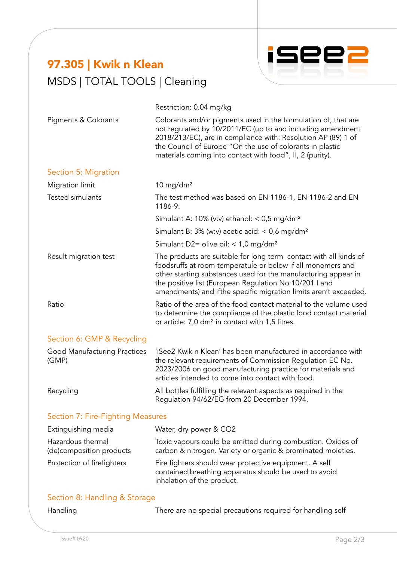# 97.305 | Kwik n Klean MSDS | TOTAL TOOLS | Cleaning



Restriction: 0.04 mg/kg Pigments & Colorants **Colorants and/or pigments used in the formulation of, that are** not regulated by 10/2011/EC (up to and including amendment 2018/213/EC), are in compliance with: Resolution AP (89) 1 of the Council of Europe "On the use of colorants in plastic materials coming into contact with food", II, 2 (purity). Section 5: Migration Migration limit 10 mg/dm<sup>2</sup> Tested simulants The test method was based on EN 1186-1, EN 1186-2 and EN 1186-9. Simulant A: 10% (v:v) ethanol:  $<$  0,5 mg/dm<sup>2</sup> Simulant B:  $3\%$  (w:v) acetic acid: < 0,6 mg/dm<sup>2</sup> Simulant D2= olive oil:  $< 1.0$  mg/dm<sup>2</sup> Result migration test The products are suitable for long term contact with all kinds of foodsruffs at room temperatuÍe or below if all monomers and other starting substances used for the manufacturing appear in the positive list (European Regulation No 10/201 I and amendments) and ifthe specific migration limits aren't exceeded. Ratio **Ratio Contact Matio of the area of the food contact material to the volume used** to determine the compliance of the plastic food contact material or article: 7,0 dm² in contact with 1,5 litres. Section 6: GMP & Recycling Good Manufacturing Practices 'iSee2 Kwik n Klean' has been manufactured in accordance with (GMP) the relevant requirements of Commission Regulation EC No. 2023/2006 on good manufacturing practice for materials and articles intended to come into contact with food. Recycling **All bottles fulfilling the relevant aspects as required in the** Regulation 94/62/EG from 20 December 1994. Section 7: Fire-Fighting Measures

| Extinguishing media                            | Water, dry power & CO2                                                                                                                        |
|------------------------------------------------|-----------------------------------------------------------------------------------------------------------------------------------------------|
| Hazardous thermal<br>(de) composition products | Toxic vapours could be emitted during combustion. Oxides of<br>carbon & nitrogen. Variety or organic & brominated moieties.                   |
| Protection of firefighters                     | Fire fighters should wear protective equipment. A self<br>contained breathing apparatus should be used to avoid<br>inhalation of the product. |

#### Section 8: Handling & Storage

|  | Handling |
|--|----------|

There are no special precautions required for handling self